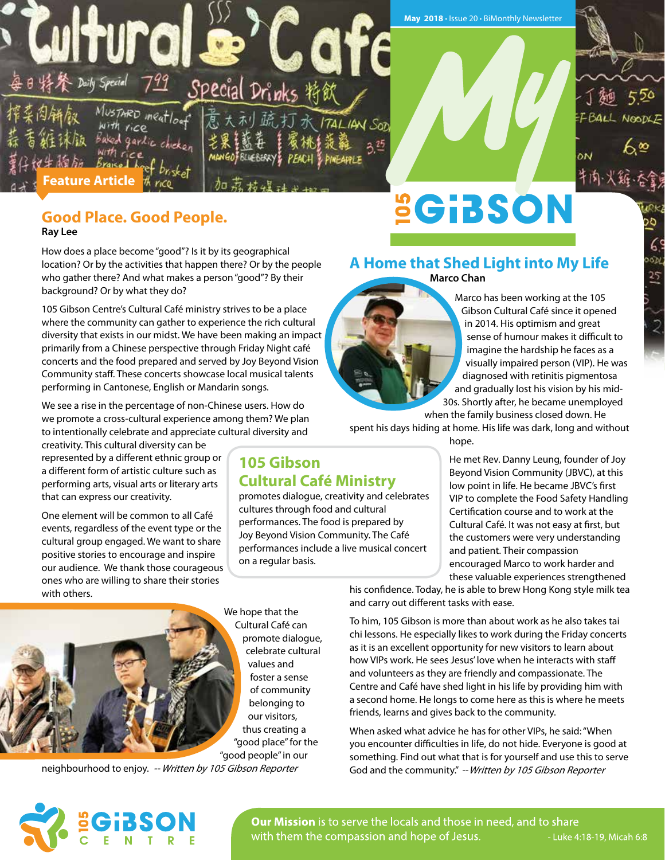

## **Good Place. Good People.**

**Ray Lee**

How does a place become "good"? Is it by its geographical location? Or by the activities that happen there? Or by the people who gather there? And what makes a person "good"? By their background? Or by what they do?

105 Gibson Centre's Cultural Café ministry strives to be a place where the community can gather to experience the rich cultural diversity that exists in our midst. We have been making an impact primarily from a Chinese perspective through Friday Night café concerts and the food prepared and served by Joy Beyond Vision Community staff. These concerts showcase local musical talents performing in Cantonese, English or Mandarin songs.

We see a rise in the percentage of non-Chinese users. How do we promote a cross-cultural experience among them? We plan to intentionally celebrate and appreciate cultural diversity and

creativity. This cultural diversity can be represented by a different ethnic group or a different form of artistic culture such as performing arts, visual arts or literary arts that can express our creativity.

One element will be common to all Café events, regardless of the event type or the cultural group engaged. We want to share positive stories to encourage and inspire our audience. We thank those courageous ones who are willing to share their stories with others.



We hope that the Cultural Café can promote dialogue, celebrate cultural values and foster a sense of community belonging to our visitors, thus creating a "good place" for the "good people" in our

**105 Gibson** 

on a regular basis.

**Cultural Café Ministry** 

cultures through food and cultural performances. The food is prepared by Joy Beyond Vision Community. The Café performances include a live musical concert

promotes dialogue, creativity and celebrates

neighbourhood to enjoy. -- Written by 105 Gibson Reporter

#### **A Home that Shed Light into My Life Marco Chan**



Marco has been working at the 105 Gibson Cultural Café since it opened in 2014. His optimism and great sense of humour makes it difficult to imagine the hardship he faces as a visually impaired person (VIP). He was diagnosed with retinitis pigmentosa and gradually lost his vision by his mid-30s. Shortly after, he became unemployed

 $\overline{5}$ 

 $\overline{25}$ 

when the family business closed down. He spent his days hiding at home. His life was dark, long and without

hope.

He met Rev. Danny Leung, founder of Joy Beyond Vision Community (JBVC), at this low point in life. He became JBVC's first VIP to complete the Food Safety Handling Certification course and to work at the Cultural Café. It was not easy at first, but the customers were very understanding and patient. Their compassion encouraged Marco to work harder and these valuable experiences strengthened

his confidence. Today, he is able to brew Hong Kong style milk tea and carry out different tasks with ease.

To him, 105 Gibson is more than about work as he also takes tai chi lessons. He especially likes to work during the Friday concerts as it is an excellent opportunity for new visitors to learn about how VIPs work. He sees Jesus' love when he interacts with staff and volunteers as they are friendly and compassionate. The Centre and Café have shed light in his life by providing him with a second home. He longs to come here as this is where he meets friends, learns and gives back to the community.

When asked what advice he has for other VIPs, he said: "When you encounter difficulties in life, do not hide. Everyone is good at something. Find out what that is for yourself and use this to serve God and the community." -- Written by 105 Gibson Reporter



**Our Mission** is to serve the locals and those in need, and to share with them the compassion and hope of Jesus. - Luke 4:18-19, Micah 6:8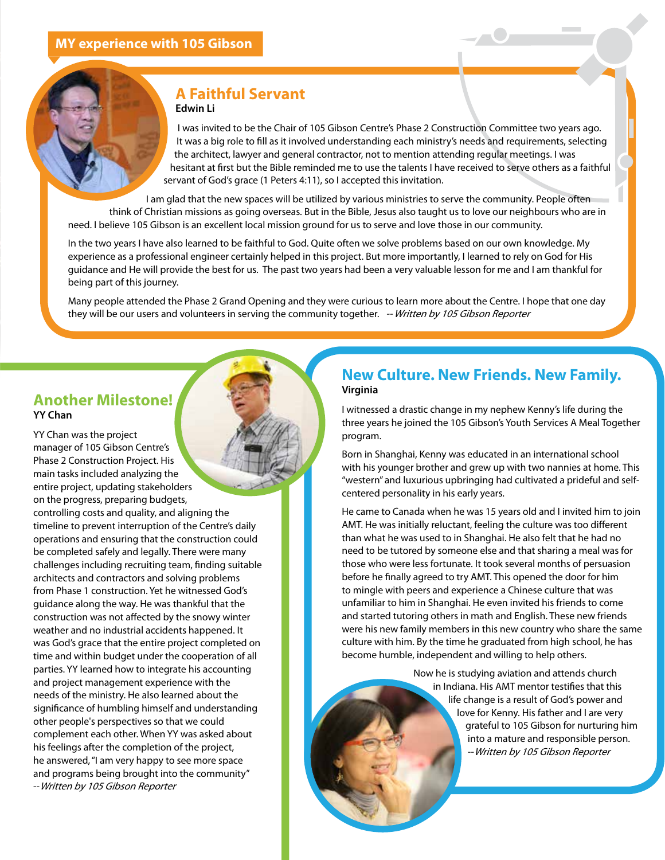#### **A Faithful Servant Edwin Li**

I was invited to be the Chair of 105 Gibson Centre's Phase 2 Construction Committee two years ago. It was a big role to fill as it involved understanding each ministry's needs and requirements, selecting the architect, lawyer and general contractor, not to mention attending regular meetings. I was hesitant at first but the Bible reminded me to use the talents I have received to serve others as a faithful servant of God's grace (1 Peters 4:11), so I accepted this invitation.

I am glad that the new spaces will be utilized by various ministries to serve the community. People often think of Christian missions as going overseas. But in the Bible, Jesus also taught us to love our neighbours who are in need. I believe 105 Gibson is an excellent local mission ground for us to serve and love those in our community.

In the two years I have also learned to be faithful to God. Quite often we solve problems based on our own knowledge. My experience as a professional engineer certainly helped in this project. But more importantly, I learned to rely on God for His guidance and He will provide the best for us. The past two years had been a very valuable lesson for me and I am thankful for being part of this journey.

Many people attended the Phase 2 Grand Opening and they were curious to learn more about the Centre. I hope that one day they will be our users and volunteers in serving the community together. -- Written by 105 Gibson Reporter

#### **Another Milestone! YY Chan**

YY Chan was the project manager of 105 Gibson Centre's Phase 2 Construction Project. His main tasks included analyzing the entire project, updating stakeholders on the progress, preparing budgets, controlling costs and quality, and aligning the timeline to prevent interruption of the Centre's daily operations and ensuring that the construction could be completed safely and legally. There were many challenges including recruiting team, finding suitable architects and contractors and solving problems from Phase 1 construction. Yet he witnessed God's guidance along the way. He was thankful that the construction was not affected by the snowy winter weather and no industrial accidents happened. It was God's grace that the entire project completed on time and within budget under the cooperation of all parties. YY learned how to integrate his accounting and project management experience with the needs of the ministry. He also learned about the significance of humbling himself and understanding other people's perspectives so that we could complement each other. When YY was asked about his feelings after the completion of the project, he answered, "I am very happy to see more space and programs being brought into the community" --Written by 105 Gibson Reporter

#### **New Culture. New Friends. New Family. Virginia**

I witnessed a drastic change in my nephew Kenny's life during the three years he joined the 105 Gibson's Youth Services A Meal Together program.

Born in Shanghai, Kenny was educated in an international school with his younger brother and grew up with two nannies at home. This "western" and luxurious upbringing had cultivated a prideful and selfcentered personality in his early years.

He came to Canada when he was 15 years old and I invited him to join AMT. He was initially reluctant, feeling the culture was too different than what he was used to in Shanghai. He also felt that he had no need to be tutored by someone else and that sharing a meal was for those who were less fortunate. It took several months of persuasion before he finally agreed to try AMT. This opened the door for him to mingle with peers and experience a Chinese culture that was unfamiliar to him in Shanghai. He even invited his friends to come and started tutoring others in math and English. These new friends were his new family members in this new country who share the same culture with him. By the time he graduated from high school, he has become humble, independent and willing to help others.

> Now he is studying aviation and attends church in Indiana. His AMT mentor testifies that this life change is a result of God's power and love for Kenny. His father and I are very grateful to 105 Gibson for nurturing him into a mature and responsible person. --Written by 105 Gibson Reporter